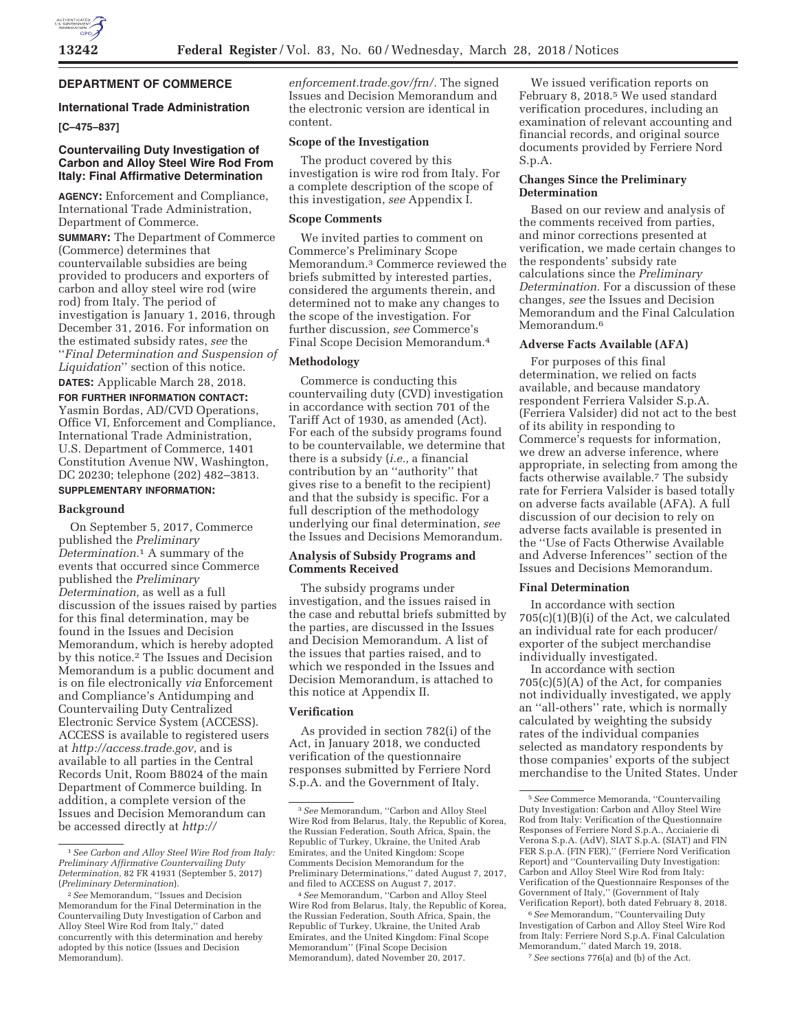

# **DEPARTMENT OF COMMERCE**

# **International Trade Administration**

**[C–475–837]** 

# **Countervailing Duty Investigation of Carbon and Alloy Steel Wire Rod From Italy: Final Affirmative Determination**

**AGENCY:** Enforcement and Compliance, International Trade Administration, Department of Commerce. **SUMMARY:** The Department of Commerce (Commerce) determines that countervailable subsidies are being provided to producers and exporters of carbon and alloy steel wire rod (wire rod) from Italy. The period of investigation is January 1, 2016, through December 31, 2016. For information on the estimated subsidy rates, *see* the ''*Final Determination and Suspension of Liquidation*'' section of this notice. **DATES:** Applicable March 28, 2018.

# **FOR FURTHER INFORMATION CONTACT:**

Yasmin Bordas, AD/CVD Operations, Office VI, Enforcement and Compliance, International Trade Administration, U.S. Department of Commerce, 1401 Constitution Avenue NW, Washington, DC 20230; telephone (202) 482–3813.

# **SUPPLEMENTARY INFORMATION:**

#### **Background**

On September 5, 2017, Commerce published the *Preliminary Determination.*1 A summary of the events that occurred since Commerce published the *Preliminary Determination,* as well as a full discussion of the issues raised by parties for this final determination, may be found in the Issues and Decision Memorandum, which is hereby adopted by this notice.2 The Issues and Decision Memorandum is a public document and is on file electronically *via* Enforcement and Compliance's Antidumping and Countervailing Duty Centralized Electronic Service System (ACCESS). ACCESS is available to registered users at *http://access.trade.gov,* and is available to all parties in the Central Records Unit, Room B8024 of the main Department of Commerce building. In addition, a complete version of the Issues and Decision Memorandum can be accessed directly at *http://*

*enforcement.trade.gov/frn/.* The signed Issues and Decision Memorandum and the electronic version are identical in content.

# **Scope of the Investigation**

The product covered by this investigation is wire rod from Italy. For a complete description of the scope of this investigation, *see* Appendix I.

# **Scope Comments**

We invited parties to comment on Commerce's Preliminary Scope Memorandum.3 Commerce reviewed the briefs submitted by interested parties, considered the arguments therein, and determined not to make any changes to the scope of the investigation. For further discussion, *see* Commerce's Final Scope Decision Memorandum.4

# **Methodology**

Commerce is conducting this countervailing duty (CVD) investigation in accordance with section 701 of the Tariff Act of 1930, as amended (Act). For each of the subsidy programs found to be countervailable, we determine that there is a subsidy (*i.e.,* a financial contribution by an ''authority'' that gives rise to a benefit to the recipient) and that the subsidy is specific. For a full description of the methodology underlying our final determination, *see*  the Issues and Decisions Memorandum.

# **Analysis of Subsidy Programs and Comments Received**

The subsidy programs under investigation, and the issues raised in the case and rebuttal briefs submitted by the parties, are discussed in the Issues and Decision Memorandum. A list of the issues that parties raised, and to which we responded in the Issues and Decision Memorandum, is attached to this notice at Appendix II.

### **Verification**

As provided in section 782(i) of the Act, in January 2018, we conducted verification of the questionnaire responses submitted by Ferriere Nord S.p.A. and the Government of Italy.

We issued verification reports on February 8, 2018.<sup>5</sup> We used standard verification procedures, including an examination of relevant accounting and financial records, and original source documents provided by Ferriere Nord S.p.A.

# **Changes Since the Preliminary Determination**

Based on our review and analysis of the comments received from parties, and minor corrections presented at verification, we made certain changes to the respondents' subsidy rate calculations since the *Preliminary Determination.* For a discussion of these changes, *see* the Issues and Decision Memorandum and the Final Calculation Memorandum.<sup>6</sup>

### **Adverse Facts Available (AFA)**

For purposes of this final determination, we relied on facts available, and because mandatory respondent Ferriera Valsider S.p.A. (Ferriera Valsider) did not act to the best of its ability in responding to Commerce's requests for information, we drew an adverse inference, where appropriate, in selecting from among the facts otherwise available.7 The subsidy rate for Ferriera Valsider is based totally on adverse facts available (AFA). A full discussion of our decision to rely on adverse facts available is presented in the ''Use of Facts Otherwise Available and Adverse Inferences'' section of the Issues and Decisions Memorandum.

# **Final Determination**

In accordance with section  $705(c)(1)(B)(i)$  of the Act, we calculated an individual rate for each producer/ exporter of the subject merchandise individually investigated.

In accordance with section 705(c)(5)(A) of the Act, for companies not individually investigated, we apply an ''all-others'' rate, which is normally calculated by weighting the subsidy rates of the individual companies selected as mandatory respondents by those companies' exports of the subject merchandise to the United States. Under

6*See* Memorandum, ''Countervailing Duty Investigation of Carbon and Alloy Steel Wire Rod from Italy: Ferriere Nord S.p.A. Final Calculation Memorandum,'' dated March 19, 2018. 7*See* sections 776(a) and (b) of the Act.

<sup>1</sup>*See Carbon and Alloy Steel Wire Rod from Italy: Preliminary Affirmative Countervailing Duty Determination,* 82 FR 41931 (September 5, 2017) (*Preliminary Determination*).

<sup>2</sup>*See* Memorandum, ''Issues and Decision Memorandum for the Final Determination in the Countervailing Duty Investigation of Carbon and Alloy Steel Wire Rod from Italy,'' dated concurrently with this determination and hereby adopted by this notice (Issues and Decision Memorandum).

<sup>3</sup>*See* Memorandum, ''Carbon and Alloy Steel Wire Rod from Belarus, Italy, the Republic of Korea, the Russian Federation, South Africa, Spain, the Republic of Turkey, Ukraine, the United Arab Emirates, and the United Kingdom: Scope Comments Decision Memorandum for the Preliminary Determinations,'' dated August 7, 2017, and filed to ACCESS on August 7, 2017.

<sup>4</sup>*See* Memorandum, ''Carbon and Alloy Steel Wire Rod from Belarus, Italy, the Republic of Korea, the Russian Federation, South Africa, Spain, the Republic of Turkey, Ukraine, the United Arab Emirates, and the United Kingdom: Final Scope Memorandum'' (Final Scope Decision Memorandum), dated November 20, 2017.

<sup>5</sup>*See* Commerce Memoranda, ''Countervailing Duty Investigation: Carbon and Alloy Steel Wire Rod from Italy: Verification of the Questionnaire Responses of Ferriere Nord S.p.A., Acciaierie di Verona S.p.A. (AdV), SIAT S.p.A. (SIAT) and FIN FER S.p.A. (FIN FER),'' (Ferriere Nord Verification Report) and ''Countervailing Duty Investigation: Carbon and Alloy Steel Wire Rod from Italy: Verification of the Questionnaire Responses of the Government of Italy,'' (Government of Italy Verification Report), both dated February 8, 2018.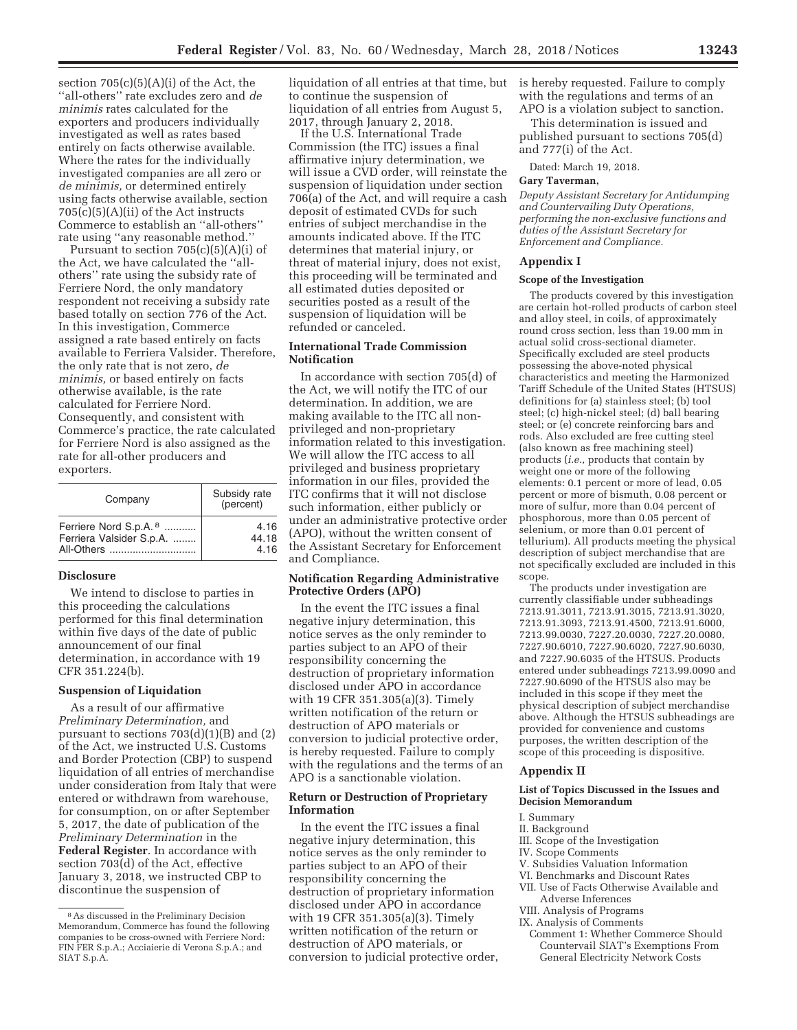section  $705(c)(5)(A)(i)$  of the Act, the ''all-others'' rate excludes zero and *de minimis* rates calculated for the exporters and producers individually investigated as well as rates based entirely on facts otherwise available. Where the rates for the individually investigated companies are all zero or *de minimis,* or determined entirely using facts otherwise available, section  $705(c)(5)(A)(ii)$  of the Act instructs Commerce to establish an ''all-others'' rate using ''any reasonable method.''

Pursuant to section 705(c)(5)(A)(i) of the Act, we have calculated the ''allothers'' rate using the subsidy rate of Ferriere Nord, the only mandatory respondent not receiving a subsidy rate based totally on section 776 of the Act. In this investigation, Commerce assigned a rate based entirely on facts available to Ferriera Valsider. Therefore, the only rate that is not zero, *de minimis,* or based entirely on facts otherwise available, is the rate calculated for Ferriere Nord. Consequently, and consistent with Commerce's practice, the rate calculated for Ferriere Nord is also assigned as the rate for all-other producers and exporters.

| Company                           | Subsidy rate<br>(percent) |
|-----------------------------------|---------------------------|
| Ferriere Nord S.p.A. <sup>8</sup> | 4.16                      |
| Ferriera Valsider S.p.A.          | 44.18                     |
| All-Others                        | 4.16                      |

# **Disclosure**

We intend to disclose to parties in this proceeding the calculations performed for this final determination within five days of the date of public announcement of our final determination, in accordance with 19 CFR 351.224(b).

# **Suspension of Liquidation**

As a result of our affirmative *Preliminary Determination,* and pursuant to sections 703(d)(1)(B) and (2) of the Act, we instructed U.S. Customs and Border Protection (CBP) to suspend liquidation of all entries of merchandise under consideration from Italy that were entered or withdrawn from warehouse, for consumption, on or after September 5, 2017, the date of publication of the *Preliminary Determination* in the **Federal Register**. In accordance with section 703(d) of the Act, effective January 3, 2018, we instructed CBP to discontinue the suspension of

liquidation of all entries at that time, but to continue the suspension of liquidation of all entries from August 5, 2017, through January 2, 2018.

If the U.S. International Trade Commission (the ITC) issues a final affirmative injury determination, we will issue a CVD order, will reinstate the suspension of liquidation under section 706(a) of the Act, and will require a cash deposit of estimated CVDs for such entries of subject merchandise in the amounts indicated above. If the ITC determines that material injury, or threat of material injury, does not exist, this proceeding will be terminated and all estimated duties deposited or securities posted as a result of the suspension of liquidation will be refunded or canceled.

# **International Trade Commission Notification**

In accordance with section 705(d) of the Act, we will notify the ITC of our determination. In addition, we are making available to the ITC all nonprivileged and non-proprietary information related to this investigation. We will allow the ITC access to all privileged and business proprietary information in our files, provided the ITC confirms that it will not disclose such information, either publicly or under an administrative protective order (APO), without the written consent of the Assistant Secretary for Enforcement and Compliance.

# **Notification Regarding Administrative Protective Orders (APO)**

In the event the ITC issues a final negative injury determination, this notice serves as the only reminder to parties subject to an APO of their responsibility concerning the destruction of proprietary information disclosed under APO in accordance with 19 CFR 351.305(a)(3). Timely written notification of the return or destruction of APO materials or conversion to judicial protective order, is hereby requested. Failure to comply with the regulations and the terms of an APO is a sanctionable violation.

### **Return or Destruction of Proprietary Information**

In the event the ITC issues a final negative injury determination, this notice serves as the only reminder to parties subject to an APO of their responsibility concerning the destruction of proprietary information disclosed under APO in accordance with 19 CFR 351.305(a)(3). Timely written notification of the return or destruction of APO materials, or conversion to judicial protective order, is hereby requested. Failure to comply with the regulations and terms of an APO is a violation subject to sanction.

This determination is issued and published pursuant to sections 705(d) and 777(i) of the Act.

Dated: March 19, 2018.

#### **Gary Taverman,**

*Deputy Assistant Secretary for Antidumping and Countervailing Duty Operations, performing the non-exclusive functions and duties of the Assistant Secretary for Enforcement and Compliance.* 

### **Appendix I**

#### **Scope of the Investigation**

The products covered by this investigation are certain hot-rolled products of carbon steel and alloy steel, in coils, of approximately round cross section, less than 19.00 mm in actual solid cross-sectional diameter. Specifically excluded are steel products possessing the above-noted physical characteristics and meeting the Harmonized Tariff Schedule of the United States (HTSUS) definitions for (a) stainless steel; (b) tool steel; (c) high-nickel steel; (d) ball bearing steel; or (e) concrete reinforcing bars and rods. Also excluded are free cutting steel (also known as free machining steel) products (*i.e.,* products that contain by weight one or more of the following elements: 0.1 percent or more of lead, 0.05 percent or more of bismuth, 0.08 percent or more of sulfur, more than 0.04 percent of phosphorous, more than 0.05 percent of selenium, or more than 0.01 percent of tellurium). All products meeting the physical description of subject merchandise that are not specifically excluded are included in this scope.

The products under investigation are currently classifiable under subheadings 7213.91.3011, 7213.91.3015, 7213.91.3020, 7213.91.3093, 7213.91.4500, 7213.91.6000, 7213.99.0030, 7227.20.0030, 7227.20.0080, 7227.90.6010, 7227.90.6020, 7227.90.6030, and 7227.90.6035 of the HTSUS. Products entered under subheadings 7213.99.0090 and 7227.90.6090 of the HTSUS also may be included in this scope if they meet the physical description of subject merchandise above. Although the HTSUS subheadings are provided for convenience and customs purposes, the written description of the scope of this proceeding is dispositive.

### **Appendix II**

#### **List of Topics Discussed in the Issues and Decision Memorandum**

#### I. Summary

- II. Background
- III. Scope of the Investigation
- IV. Scope Comments
- V. Subsidies Valuation Information
- VI. Benchmarks and Discount Rates
- VII. Use of Facts Otherwise Available and Adverse Inferences
- VIII. Analysis of Programs
- IX. Analysis of Comments
- Comment 1: Whether Commerce Should Countervail SIAT's Exemptions From General Electricity Network Costs

<sup>8</sup>As discussed in the Preliminary Decision Memorandum, Commerce has found the following companies to be cross-owned with Ferriere Nord: FIN FER S.p.A.; Acciaierie di Verona S.p.A.; and SIAT S.p.A.